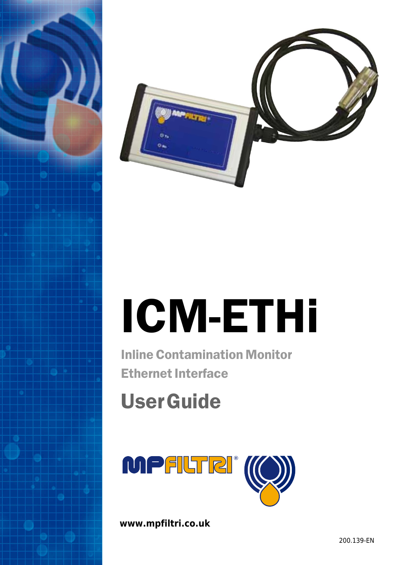



# ICM-ETHi

Inline Contamination Monitor Ethernet Interface

## UserGuide



**www.mpfiltri.co.uk**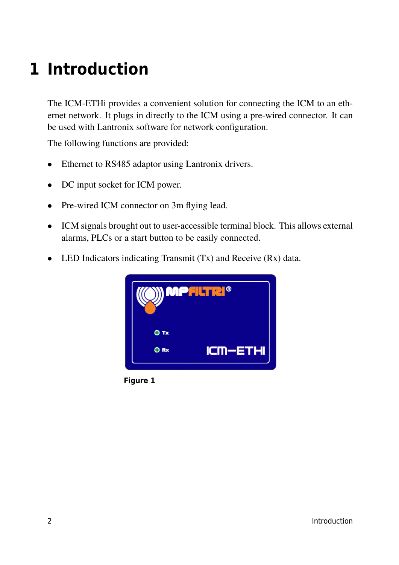### **1 Introduction**

The ICM-ETHi provides a convenient solution for connecting the ICM to an ethernet network. It plugs in directly to the ICM using a pre-wired connector. It can be used with Lantronix software for network configuration.

The following functions are provided:

- Ethernet to RS485 adaptor using Lantronix drivers.
- DC input socket for ICM power.
- Pre-wired ICM connector on 3m flying lead.
- ICM signals brought out to user-accessible terminal block. This allows external alarms, PLCs or a start button to be easily connected.
- LED Indicators indicating Transmit (Tx) and Receive (Rx) data.



**Figure 1**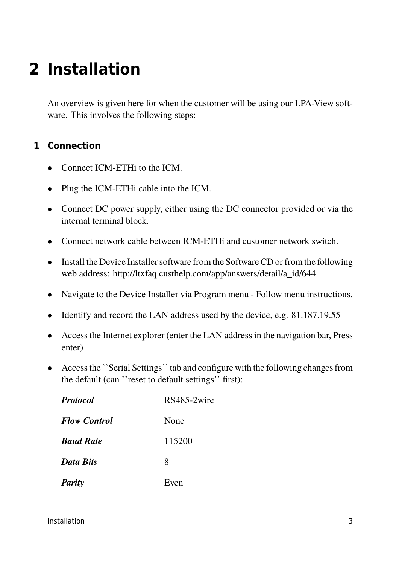### **2 Installation**

An overview is given here for when the customer will be using our LPA-View software. This involves the following steps:

### **1 Connection**

- Connect ICM-ETHi to the ICM.
- Plug the ICM-ETHi cable into the ICM.
- Connect DC power supply, either using the DC connector provided or via the internal terminal block.
- Connect network cable between ICM-ETHi and customer network switch.
- Install the Device Installer software from the Software CD or from the following web address: http://ltxfaq.custhelp.com/app/answers/detail/a\_id/644
- Navigate to the Device Installer via Program menu Follow menu instructions.
- Identify and record the LAN address used by the device, e.g. 81.187.19.55
- Access the Internet explorer (enter the LAN address in the navigation bar, Press enter)
- Access the ''Serial Settings'' tab and configure with the following changes from the default (can ''reset to default settings'' first):

| <b>Protocol</b>     | RS485-2wire |  |  |
|---------------------|-------------|--|--|
| <b>Flow Control</b> | None        |  |  |
| <b>Baud Rate</b>    | 115200      |  |  |
| <b>Data Bits</b>    | 8           |  |  |
| <b>Parity</b>       | Even        |  |  |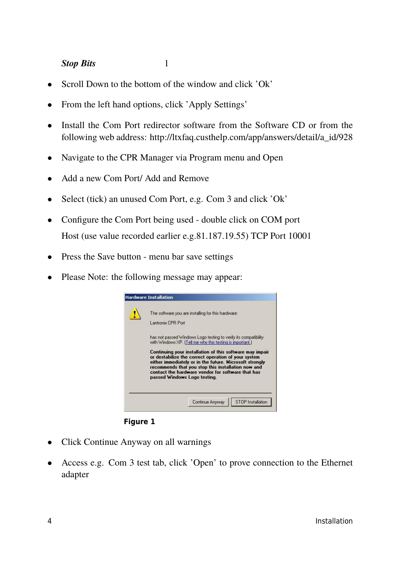#### **Stop Bits** 1

- 
- Scroll Down to the bottom of the window and click 'Ok'
- From the left hand options, click 'Apply Settings'
- Install the Com Port redirector software from the Software CD or from the following web address: http://ltxfaq.custhelp.com/app/answers/detail/a\_id/928
- Navigate to the CPR Manager via Program menu and Open
- Add a new Com Port/ Add and Remove
- Select (tick) an unused Com Port, e.g. Com 3 and click 'Ok'
- Configure the Com Port being used double click on COM port Host (use value recorded earlier e.g.81.187.19.55) TCP Port 10001
- Press the Save button menu bar save settings
- Please Note: the following message may appear:



**Figure 1**

- Click Continue Anyway on all warnings
- Access e.g. Com 3 test tab, click 'Open' to prove connection to the Ethernet adapter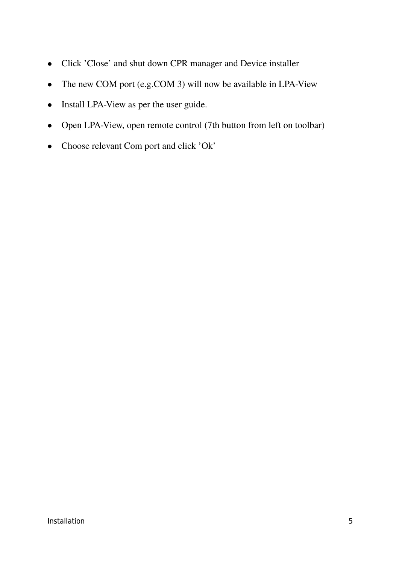- Click 'Close' and shut down CPR manager and Device installer
- The new COM port (e.g.COM 3) will now be available in LPA-View
- Install LPA-View as per the user guide.
- Open LPA-View, open remote control (7th button from left on toolbar)
- Choose relevant Com port and click 'Ok'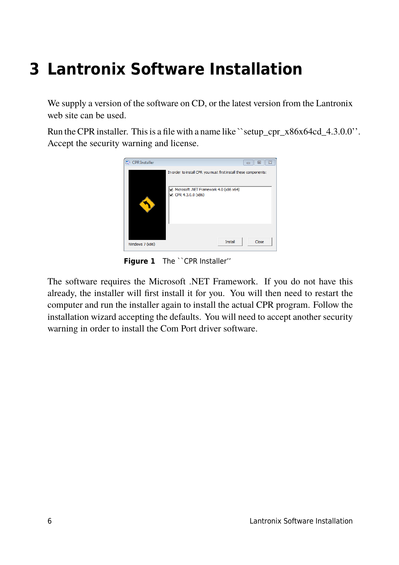### **3 Lantronix Software Installation**

We supply a version of the software on CD, or the latest version from the Lantronix web site can be used.

Run the CPR installer. This is a file with a name like ``setup\_cpr\_x86x64cd\_4.3.0.0''. Accept the security warning and license.



**Figure 1** The ``CPR Installer"

The software requires the Microsoft .NET Framework. If you do not have this already, the installer will first install it for you. You will then need to restart the computer and run the installer again to install the actual CPR program. Follow the installation wizard accepting the defaults. You will need to accept another security warning in order to install the Com Port driver software.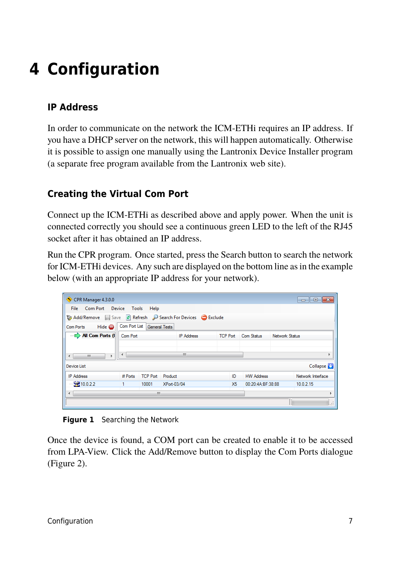### **4 Configuration**

### **IP Address**

In order to communicate on the network the ICM-ETHi requires an IP address. If you have a DHCP server on the network, this will happen automatically. Otherwise it is possible to assign one manually using the Lantronix Device Installer program (a separate free program available from the Lantronix web site).

### **Creating the Virtual Com Port**

Connect up the ICM-ETHi as described above and apply power. When the unit is connected correctly you should see a continuous green LED to the left of the RJ45 socket after it has obtained an IP address.

Run the CPR program. Once started, press the Search button to search the network for ICM-ETHi devices. Any such are displayed on the bottom line as in the example below (with an appropriate IP address for your network).

| CPR Manager 4.3.0.0                                      |          |                             |                   |                 |                   |                |                   |
|----------------------------------------------------------|----------|-----------------------------|-------------------|-----------------|-------------------|----------------|-------------------|
| File Com Port Device Tools                               |          | Help                        |                   |                 |                   |                |                   |
| Add/Remove Save a Refresh P Search For Devices C Exclude |          |                             |                   |                 |                   |                |                   |
| Hide $\bigoplus$<br>Com Ports                            |          | Com Port List General Tests |                   |                 |                   |                |                   |
| All Com Ports (                                          | Com Port |                             | <b>IP Address</b> | <b>TCP Port</b> | Com Status        | Network Status |                   |
|                                                          |          |                             |                   |                 |                   |                |                   |
| m.<br>$\leftarrow$<br>k                                  | ∢        |                             | m.                |                 |                   |                | Þ                 |
| <b>Device List</b>                                       |          |                             |                   |                 |                   |                | Collapse V        |
| <b>IP</b> Address                                        | # Ports  | <b>TCP Port</b>             | Product           | ID              | <b>HW Address</b> |                | Network Interface |
| $\leq$ 210.0.2.2                                         |          | 10001                       | XPort-03/04       | X5              | 00:20:4A:BF:38:88 |                | 10.0.2.15         |
| $\blacktriangleleft$<br>m.                               |          |                             |                   |                 |                   |                |                   |
|                                                          |          |                             |                   |                 |                   |                | ă                 |

**Figure 1** Searching the Network

Once the device is found, a COM port can be created to enable it to be accessed from LPA-View. Click the Add/Remove button to display the Com Ports dialogue ([Figure 2](#page-7-0)).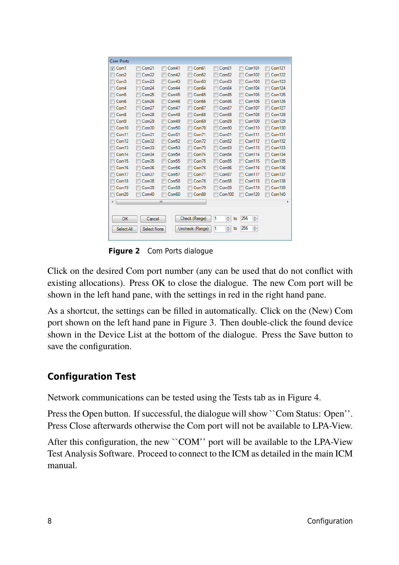<span id="page-7-0"></span>

| <b>Com Ports</b>        |                        |                         |                        |              |                    |               |
|-------------------------|------------------------|-------------------------|------------------------|--------------|--------------------|---------------|
| $\triangledown$<br>Com1 | Com <sub>21</sub><br>m | m<br>Com41              | m<br>Com <sub>61</sub> | Com81<br>m   | Com101<br>г        | Com121<br>г   |
| Com <sub>2</sub><br>F   | Com <sub>22</sub>      | Com42<br>IF             | Com62                  | Com82        | Com102             | Com122        |
| г<br>Com <sub>3</sub>   | Com <sub>23</sub>      | г<br>Com <sub>43</sub>  | Com63<br>F             | Com83        | Com103<br>г        | <b>Com123</b> |
| Com <sub>4</sub>        | Com <sub>24</sub>      | Com44<br>F              | Com <sub>64</sub>      | Com84        | Com104             | Com124        |
| F<br>Com <sub>5</sub>   | Com <sub>25</sub>      | IF<br>Com <sub>45</sub> | Com65                  | Com85        | Com105<br>Γ        | <b>Com125</b> |
| Com <sub>6</sub>        | Com26                  | Γ<br>Com46              | Com66<br>F             | Com86        | <b>Com106</b>      | <b>Com126</b> |
| Com7<br>E               | Com <sub>27</sub>      | Com47<br>IF             | Com67                  | Com87        | Com107<br>F        | <b>Com127</b> |
| F<br>Com <sub>8</sub>   | Com <sub>28</sub>      | Γ<br>Com <sub>48</sub>  | Com68                  | Com88        | <b>Com108</b>      | <b>Com128</b> |
| Com9<br>E               | Com <sub>29</sub>      | Com49<br>F              | Com69                  | Com89        | Com109             | Com129        |
| Com10                   | Com <sub>30</sub>      | Com <sub>50</sub><br>г  | Com70<br>г             | Com90        | Com110<br>г        | Com130        |
| Com11                   | Com <sub>31</sub>      | Com <sub>51</sub><br>IF | Com71                  | Com91        | Com111             | <b>Com131</b> |
| F<br>Com <sub>12</sub>  | Com <sub>32</sub>      | F<br>Com <sub>52</sub>  | F<br>Com72             | Com92        | Com112<br>F        | Com132        |
| Com13                   | Com33                  | Com53<br>г              | Com73                  | Com93        | <b>Com113</b><br>F | <b>Com133</b> |
| Com14<br>E              | Com <sub>34</sub>      | Com <sub>54</sub><br>F  | Com74<br>F             | Com94        | Com114<br>г        | <b>Com134</b> |
| Com15                   | Com35                  | Com <sub>55</sub><br>Γ  | Com75                  | Com95        | <b>Com115</b><br>г | <b>Com135</b> |
| Com16<br>E              | Com36                  | Com <sub>56</sub><br>IF | Com76                  | Com96        | Com116             | <b>Com136</b> |
| Com <sub>17</sub><br>F  | Com <sub>37</sub>      | F<br>Com <sub>57</sub>  | Com77<br>IF            | Com97        | Com117<br>F        | Com137        |
| Com <sub>18</sub>       | Com38                  | Com <sub>58</sub><br>Γ  | Com78                  | Com98        | Com118             | Com138        |
| Com <sub>19</sub><br>П  | Com39                  | IF<br>Com59             | Com79                  | Com99        | Com119<br>г        | Com139        |
| Com <sub>20</sub>       | Com40                  | Com <sub>60</sub>       | Com <sub>80</sub>      | Com100       | Com120             | Com140        |
| ∢                       |                        | Ш                       |                        |              |                    | ۰             |
|                         |                        |                         |                        |              |                    |               |
|                         |                        |                         |                        |              |                    |               |
| ок                      | Cancel                 |                         | Check (Range)          | ÷<br>1<br>to | 256<br>÷           |               |
| Select All              | Select None            |                         | Uncheck (Range)        | ÷<br>1<br>to | ÷<br>256           |               |
|                         |                        |                         |                        |              |                    |               |

**Figure 2** Com Ports dialogue

Click on the desired Com port number (any can be used that do not conflict with existing allocations). Press OK to close the dialogue. The new Com port will be shown in the left hand pane, with the settings in red in the right hand pane.

As a shortcut, the settings can be filled in automatically. Click on the (New) Com port shown on the left hand pane in [Figure 3.](#page-8-0) Then double-click the found device shown in the Device List at the bottom of the dialogue. Press the Save button to save the configuration.

### **Configuration Test**

Network communications can be tested using the Tests tab as in [Figure 4.](#page-8-0)

Press the Open button. If successful, the dialogue will show ``Com Status: Open''. Press Close afterwards otherwise the Com port will not be available to LPA-View.

After this configuration, the new ``COM'' port will be available to the LPA-View Test Analysis Software. Proceed to connect to the ICM as detailed in the main ICM manual.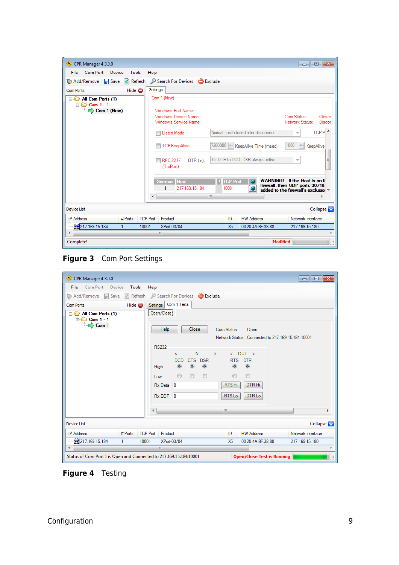<span id="page-8-0"></span>

| CPR Manager 4.3.0.0                          |                              |                                                                                               |                                |                                   | $\begin{array}{c c c c c c} \hline \multicolumn{3}{c }{\mathbf{C}} & \multicolumn{3}{c }{\mathbf{S}} & \multicolumn{3}{c }{\mathbf{S}} \end{array}$ |  |
|----------------------------------------------|------------------------------|-----------------------------------------------------------------------------------------------|--------------------------------|-----------------------------------|-----------------------------------------------------------------------------------------------------------------------------------------------------|--|
| Com Port<br>Device<br>File                   | Tools<br>Help                |                                                                                               |                                |                                   |                                                                                                                                                     |  |
| Add/Remove <b>F</b> Save                     | $\mathbb{R}$ Refresh         | Search For Devices <b>C</b> Exclude                                                           |                                |                                   |                                                                                                                                                     |  |
|                                              |                              |                                                                                               |                                |                                   |                                                                                                                                                     |  |
| Com Ports                                    | Settings<br>Hide $\bigoplus$ |                                                                                               |                                |                                   |                                                                                                                                                     |  |
| All Com Ports (1)<br>$\Box$ $\Box$ Com 1 - 1 |                              | Com 1 (New)                                                                                   |                                |                                   |                                                                                                                                                     |  |
| $\Rightarrow$ Com 1 (New)                    |                              | Window's Port Name:                                                                           |                                |                                   |                                                                                                                                                     |  |
|                                              |                              | Window's Device Name:                                                                         |                                |                                   | Com Status:<br>Closec                                                                                                                               |  |
|                                              |                              | Window's Service Name:                                                                        |                                |                                   | Network Status:<br>Discor                                                                                                                           |  |
|                                              |                              | $TCP P^*$<br>Normal - port closed after disconnect<br>Listen Mode                             |                                |                                   |                                                                                                                                                     |  |
|                                              |                              | $\frac{1}{\sqrt{2}}$<br>7200000   KeepAlive Time (msec)<br>1000<br>TCP KeepAlive<br>KeepAlive |                                |                                   |                                                                                                                                                     |  |
|                                              |                              | <b>RFC 2217</b><br>DTR (ln):<br>(TruPort)                                                     |                                | Tie DTR to DCD, DSR always active | Ξ<br>$\overline{\mathcal{M}}$                                                                                                                       |  |
|                                              | ∢                            | Service Host<br>217.169.15.184<br>1                                                           | <b>TCP Port</b><br>10001<br>m. | <b>WARNING!</b>                   | If the Host is on th<br>firewall, then UDP ports 30718.<br>added to the firewall's exclusion                                                        |  |
|                                              |                              |                                                                                               |                                |                                   |                                                                                                                                                     |  |
| <b>Device List</b>                           |                              |                                                                                               |                                |                                   | Collapse Na                                                                                                                                         |  |
| <b>IP Address</b><br># Ports                 | <b>TCP Port</b>              | Product                                                                                       | ID                             | <b>HW Address</b>                 | Network Interface                                                                                                                                   |  |
| 217.169.15.184                               | 10001                        | XPort-03/04                                                                                   | <b>X5</b>                      | 00:20:4A:BF:38:88                 | 217.169.15.180                                                                                                                                      |  |
| $\overline{a}$                               |                              | m.                                                                                            |                                |                                   | $\blacktriangleright$                                                                                                                               |  |
| Complete!                                    |                              |                                                                                               |                                |                                   | <b>Modified</b><br>ă                                                                                                                                |  |

**Figure 3** Com Port Settings

| CPR Manager 4.3.0.0                                                | $\begin{array}{c c c c c c} \hline \multicolumn{3}{c }{\mathbf{C}} & \multicolumn{3}{c }{\mathbf{S}} & \multicolumn{3}{c }{\mathbf{X}} \end{array}$ |  |  |  |
|--------------------------------------------------------------------|-----------------------------------------------------------------------------------------------------------------------------------------------------|--|--|--|
| Com Port Device<br>Tools<br><b>File</b>                            | Help                                                                                                                                                |  |  |  |
|                                                                    | Add/Remove Refresh Save Refresh Search For Devices Exclude                                                                                          |  |  |  |
| Hide $\bigoplus$<br>Com Ports                                      | Settings Com 1 Tests                                                                                                                                |  |  |  |
| All Com Ports (1)<br><b>D</b> Com 1 - 1                            | Open/Close                                                                                                                                          |  |  |  |
| $\Rightarrow$ Com 1                                                | Close<br>Help<br>Com Status:<br>Open                                                                                                                |  |  |  |
|                                                                    | Network Status: Connected to 217, 169, 15, 184: 10001<br><b>RS232</b>                                                                               |  |  |  |
|                                                                    | <------------ IN----------> <--- OUT --->                                                                                                           |  |  |  |
|                                                                    | DCD CTS DSR<br>RTS DTR<br>$\odot$<br>$\circledcirc$<br>$\odot$<br>$\circledcirc$<br>$\odot$<br>High                                                 |  |  |  |
|                                                                    | $\odot$<br>$\circledcirc$<br>$\circledcirc$<br>$\circledcirc$<br>$\circledcirc$                                                                     |  |  |  |
|                                                                    | Low<br>RTS Hi<br>DTR Hi                                                                                                                             |  |  |  |
|                                                                    | Rx Data 0                                                                                                                                           |  |  |  |
|                                                                    | RTS Lo<br>DTR <sub>Lo</sub><br>Rx EOF 0                                                                                                             |  |  |  |
|                                                                    | m.<br>$\blacktriangleleft$<br>r                                                                                                                     |  |  |  |
| Device List                                                        | Collapse <b>M</b>                                                                                                                                   |  |  |  |
| <b>IP Address</b><br># Ports                                       | <b>TCP Port Product</b><br>Network Interface<br><b>HW Address</b><br>ID                                                                             |  |  |  |
| 2217.169.15.184<br>1                                               | 00:20:4A:BF:38:88<br>XPort-03/04<br>217.169.15.180<br>10001<br>X <sub>5</sub>                                                                       |  |  |  |
| $\epsilon$<br>m.<br>þ                                              |                                                                                                                                                     |  |  |  |
| Status of Com Port 1 is Open and Connected to 217.169.15.184:10001 | <b>Open/Close Test is Running</b>                                                                                                                   |  |  |  |

**Figure 4** Testing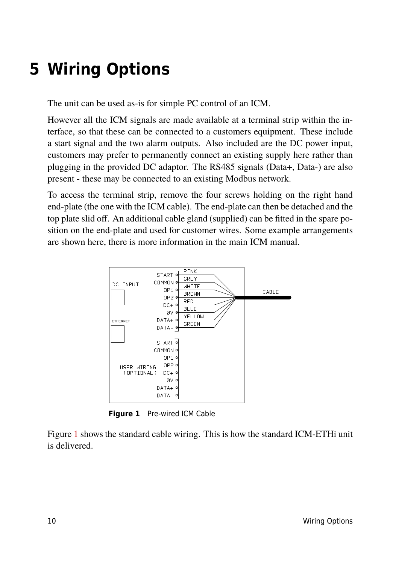### **5 Wiring Options**

The unit can be used as-is for simple PC control of an ICM.

However all the ICM signals are made available at a terminal strip within the interface, so that these can be connected to a customers equipment. These include a start signal and the two alarm outputs. Also included are the DC power input, customers may prefer to permanently connect an existing supply here rather than plugging in the provided DC adaptor. The RS485 signals (Data+, Data-) are also present - these may be connected to an existing Modbus network.

To access the terminal strip, remove the four screws holding on the right hand end-plate (the one with the ICM cable). The end-plate can then be detached and the top plate slid off. An additional cable gland (supplied) can be fitted in the spare position on the end-plate and used for customer wires. Some example arrangements are shown here, there is more information in the main ICM manual.



**Figure 1** Pre-wired ICM Cable

Figure 1 shows the standard cable wiring. This is how the standard ICM-ETHi unit is delivered.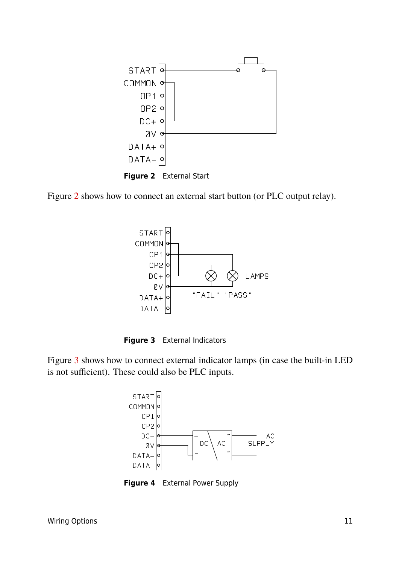<span id="page-10-0"></span>





**Figure 3** External Indicators

Figure 3 shows how to connect external indicator lamps (in case the built-in LED is not sufficient). These could also be PLC inputs.



**Figure 4** External Power Supply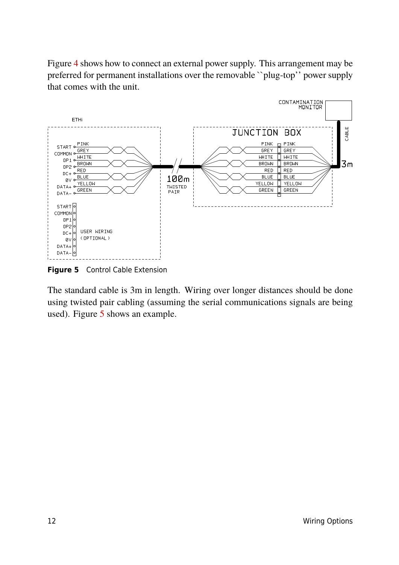Figure [4](#page-10-0) shows how to connect an external power supply. This arrangement may be preferred for permanent installations over the removable ``plug-top'' power supply that comes with the unit.



**Figure 5** Control Cable Extension

The standard cable is 3m in length. Wiring over longer distances should be done using twisted pair cabling (assuming the serial communications signals are being used). Figure 5 shows an example.